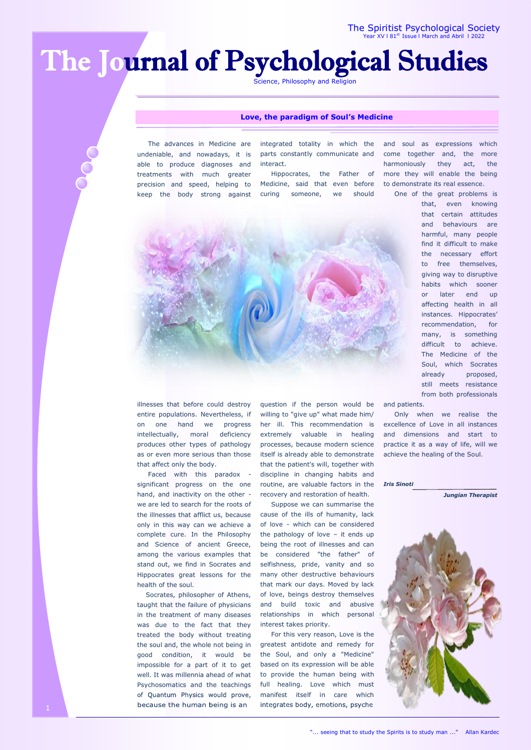# The Journal of Psychological Studies

Science, Philosophy and Religion

## **Love, the paradigm of Soul's Medicine**

 The advances in Medicine are undeniable, and nowadays, it is able to produce diagnoses and treatments with much greater precision and speed, helping to keep the body strong against integrated totality in which the parts constantly communicate and interact.

 Hippocrates, the Father of Medicine, said that even before curing someone, we should



and soul as expressions which come together and, the more harmoniously they act, the more they will enable the being to demonstrate its real essence.

One of the great problems is

that, even knowing that certain attitudes and behaviours are harmful, many people find it difficult to make the necessary effort to free themselves, giving way to disruptive habits which sooner or later end up affecting health in all instances. Hippocrates' recommendation, for many, is something difficult to achieve. The Medicine of the Soul, which Socrates already proposed, still meets resistance from both professionals

illnesses that before could destroy entire populations. Nevertheless, if on one hand we progress intellectually, moral deficiency produces other types of pathology as or even more serious than those that affect only the body.

 Faced with this paradox significant progress on the one hand, and inactivity on the other we are led to search for the roots of the illnesses that afflict us, because only in this way can we achieve a complete cure. In the Philosophy and Science of ancient Greece, among the various examples that stand out, we find in Socrates and Hippocrates great lessons for the health of the soul.

 Socrates, philosopher of Athens, taught that the failure of physicians in the treatment of many diseases was due to the fact that they treated the body without treating the soul and, the whole not being in good condition, it would be impossible for a part of it to get well. It was millennia ahead of what Psychosomatics and the teachings of Quantum Physics would prove, because the human being is an

question if the person would be willing to "give up" what made him/ her ill. This recommendation is extremely valuable in healing processes, because modern science itself is already able to demonstrate that the patient's will, together with discipline in changing habits and routine, are valuable factors in the recovery and restoration of health.

 Suppose we can summarise the cause of the ills of humanity, lack of love - which can be considered the pathology of love – it ends up being the root of illnesses and can be considered "the father" of selfishness, pride, vanity and so many other destructive behaviours that mark our days. Moved by lack of love, beings destroy themselves and build toxic and abusive relationships in which personal interest takes priority.

 For this very reason, Love is the greatest antidote and remedy for the Soul, and only a "Medicine" based on its expression will be able to provide the human being with full healing. Love which must manifest itself in care which integrates body, emotions, psyche

and patients.

 Only when we realise the excellence of Love in all instances and dimensions and start to practice it as a way of life, will we achieve the healing of the Soul.

#### *Iris Sinoti*

*Jungian Therapist*

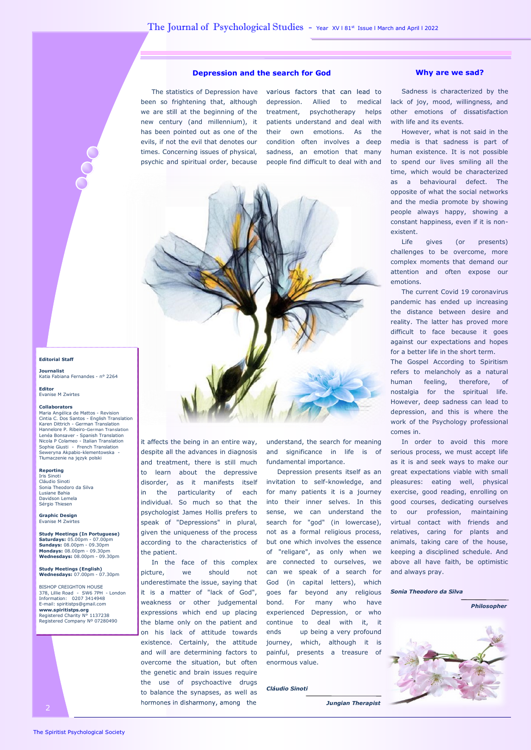# **Depression and the search for God Why are we sad?**

 The statistics of Depression have been so frightening that, although we are still at the beginning of the new century (and millennium), it has been pointed out as one of the evils, if not the evil that denotes our times. Concerning issues of physical, psychic and spiritual order, because

various factors that can lead to depression. Allied to medical treatment, psychotherapy helps patients understand and deal with their own emotions. As the condition often involves a deep sadness, an emotion that many people find difficult to deal with and



it affects the being in an entire way, despite all the advances in diagnosis and treatment, there is still much to learn about the depressive disorder, as it manifests itself in the particularity of each individual. So much so that the psychologist James Hollis prefers to speak of "Depressions" in plural, given the uniqueness of the process according to the characteristics of the patient.

 In the face of this complex picture, we should not underestimate the issue, saying that it is a matter of "lack of God", weakness or other judgemental expressions which end up placing the blame only on the patient and on his lack of attitude towards existence. Certainly, the attitude and will are determining factors to overcome the situation, but often the genetic and brain issues require the use of psychoactive drugs to balance the synapses, as well as hormones in disharmony, among the

understand, the search for meaning and significance in life is of fundamental importance.

 Depression presents itself as an invitation to self-knowledge, and for many patients it is a journey into their inner selves. In this sense, we can understand the search for "god" (in lowercase), not as a formal religious process, but one which involves the essence of "religare", as only when we are connected to ourselves, we can we speak of a search for God (in capital letters), which goes far beyond any religious bond. For many who have experienced Depression, or who continue to deal with it, it ends up being a very profound journey, which, although it is painful, presents a treasure of enormous value.

#### *Cláudio Sinoti*

 *Jungian Therapist*

 Sadness is characterized by the lack of joy, mood, willingness, and other emotions of dissatisfaction with life and its events.

 However, what is not said in the media is that sadness is part of human existence. It is not possible to spend our lives smiling all the time, which would be characterized as a behavioural defect. The opposite of what the social networks and the media promote by showing people always happy, showing a constant happiness, even if it is nonexistent.

 Life gives (or presents) challenges to be overcome, more complex moments that demand our attention and often expose our emotions.

 The current Covid 19 coronavirus pandemic has ended up increasing the distance between desire and reality. The latter has proved more difficult to face because it goes against our expectations and hopes for a better life in the short term.

The Gospel According to Spiritism refers to melancholy as a natural human feeling, therefore, of nostalgia for the spiritual life. However, deep sadness can lead to depression, and this is where the work of the Psychology professional comes in.

 In order to avoid this more serious process, we must accept life as it is and seek ways to make our great expectations viable with small pleasures: eating well, physical exercise, good reading, enrolling on good courses, dedicating ourselves to our profession, maintaining virtual contact with friends and relatives, caring for plants and animals, taking care of the house, keeping a disciplined schedule. And above all have faith, be optimistic and always pray.

*Sonia Theodoro da Silva*



# **Editorial Staff**

**Journalist**  Katia Fabiana Fernandes - n° 2264

**Editor** Evanise M Zwirtes

### **Collaborators**

Maria Angélica de Mattos - Revision Cintia C. Dos Santos - English Translation Karen Dittrich - German Translation Hannelore P. Ribeiro-German Translation Lenéa Bonsaver - Spanish Translation Nicola P Colameo - Italian Translation Sophie Giusti - French Translation Seweryna Akpabio-klementowska - Tłumaczenie na język polski

# **Reporting**

Iris Sinoti Cláudio Sinoti Sonia Theodoro da Silva Lusiane Bahia Davidson Lemela Sérgio Thiesen

**Graphic Design**  Evanise M Zwirtes

**Study Meetings (In Portuguese) Saturdays:** 05.00pm - 07.00pm **Sundays:** 08.00pm - 09.30pm **Mondays:** 08.00pm - 09.30pm **Wednesdays:** 08.00pm - 09.30pm

# **Study Meetings (English) Wednesdays:** 07.00pm - 07.30pm

BISHOP CREIGHTON HOUSE 378, Lillie Road - SW6 7PH - London Information: 0207 3414948 E-mail: spiritistps@gmail.com **[www.spiritistps.org](http://www.spiritistps.org)** Registered Charity N° 1137238 Registered Company Nº 07280490

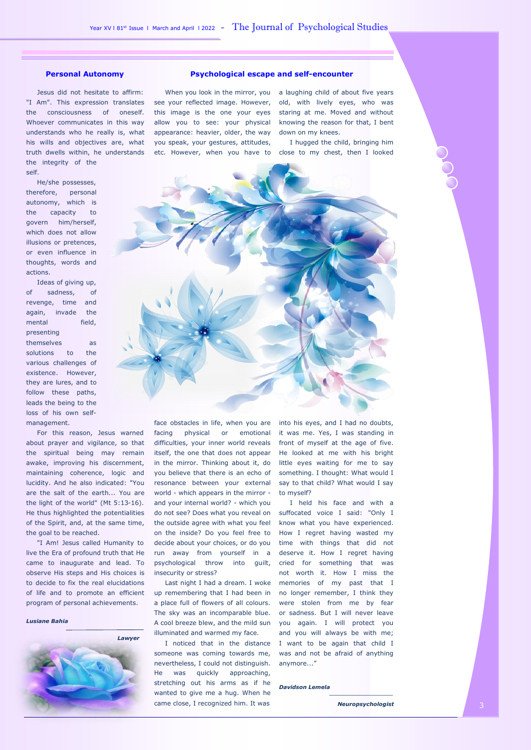"I Am". This expression translates see your reflected image. However, old, with lively eyes, who was Jesus did not hesitate to affirm: the consciousness of oneself. Whoever communicates in this way understands who he really is, what his wills and objectives are, what truth dwells within, he understands the integrity of the self.

 He/she possesses, therefore, personal autonomy, which is the capacity to govern him/herself, which does not allow illusions or pretences, or even influence in thoughts, words and actions.

 Ideas of giving up, of sadness, of revenge, time and again, invade the mental field, presenting

themselves as solutions to the various challenges of existence. However, they are lures, and to follow these paths, leads the being to the loss of his own selfmanagement.

 For this reason, Jesus warned about prayer and vigilance, so that the spiritual being may remain awake, improving his discernment, maintaining coherence, logic and lucidity. And he also indicated: "You are the salt of the earth... You are the light of the world" (Mt 5:13-16). He thus highlighted the potentialities of the Spirit, and, at the same time, the goal to be reached.

 "I Am! Jesus called Humanity to live the Era of profound truth that He came to inaugurate and lead. To observe His steps and His choices is to decide to fix the real elucidations of life and to promote an efficient program of personal achievements.

*Lusiane Bahia*



# **Personal Autonomy Psychological escape and self-encounter**

appearance: heavier, older, the way down on my knees. you speak, your gestures, attitudes,

 When you look in the mirror, you a laughing child of about five years this image is the one your eyes staring at me. Moved and without allow you to see: your physical knowing the reason for that, I bent

etc. However, when you have to close to my chest, then I looked I hugged the child, bringing him



facing physical or emotional difficulties, your inner world reveals itself, the one that does not appear in the mirror. Thinking about it, do you believe that there is an echo of resonance between your external world - which appears in the mirror and your internal world? - which you do not see? Does what you reveal on the outside agree with what you feel on the inside? Do you feel free to decide about your choices, or do you run away from yourself in a psychological throw into guilt, insecurity or stress?

up remembering that I had been in a place full of flowers of all colours. The sky was an incomparable blue. illuminated and warmed my face.

someone was coming towards me, nevertheless, I could not distinguish. He was quickly approaching, stretching out his arms as if he wanted to give me a hug. When he came close, I recognized him. It was

face obstacles in life, when you are into his eyes, and I had no doubts, it was me. Yes, I was standing in front of myself at the age of five. He looked at me with his bright little eyes waiting for me to say something. I thought: What would I say to that child? What would I say to myself?

 Last night I had a dream. I woke memories of my past that I A cool breeze blew, and the mild sun you again. I will protect you I noticed that in the distance I want to be again that child I I held his face and with a suffocated voice I said: "Only I know what you have experienced. How I regret having wasted my time with things that did not deserve it. How I regret having cried for something that was not worth it. How I miss the no longer remember, I think they were stolen from me by fear or sadness. But I will never leave and you will always be with me; was and not be afraid of anything anymore..."

*Davidson Lemela*

 *Neuropsychologist*